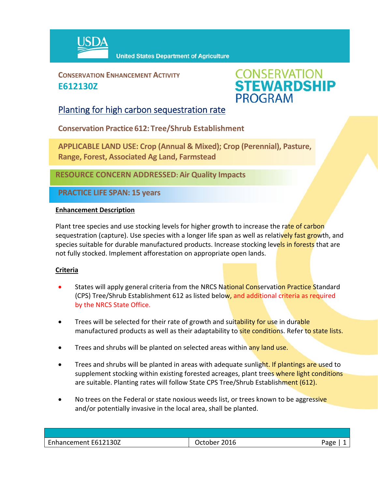

**CONSERVATION ENHANCEMENT ACTIVITY E612130Z**



## Planting for high carbon sequestration rate

**Conservation Practice 612: Tree/Shrub Establishment**

**APPLICABLE LAND USE: Crop (Annual & Mixed); Crop (Perennial), Pasture, Range, Forest, Associated Ag Land, Farmstead**

**RESOURCE CONCERN ADDRESSED: Air Quality Impacts**

**PRACTICE LIFE SPAN: 15 years**

## **Enhancement Description**

Plant tree species and use stocking levels for higher growth to increase the rate of carbon sequestration (capture). Use species with a longer life span as well as relatively fast growth, and species suitable for durable manufactured products. Increase stocking levels in forests that are not fully stocked. Implement afforestation on appropriate open lands.

## **Criteria**

- States will apply general criteria from the NRCS National Conservation Practice Standard (CPS) Tree/Shrub Establishment 612 as listed below, and additional criteria as required by the NRCS State Office.
- Trees will be selected for their rate of growth and suitability for use in durable manufactured products as well as their adaptability to **site conditions**. Refer to state lists.
- **•** Trees and shrubs will be planted on selected areas within any land use.
- **Trees and shrubs will be planted in areas with adequate sunlight. If plantings are used to** supplement stocking within existing forested acreages, plant trees where light conditions are suitable. Planting rates will follow State CPS Tree/Shrub Establishment (612).
- No trees on the Federal or state noxious weeds list, or trees known to be aggressive and/or potentially invasive in the local area, shall be planted.

| Enhancement E612130Z | 2016<br>October 1 | Page |
|----------------------|-------------------|------|
|                      |                   |      |